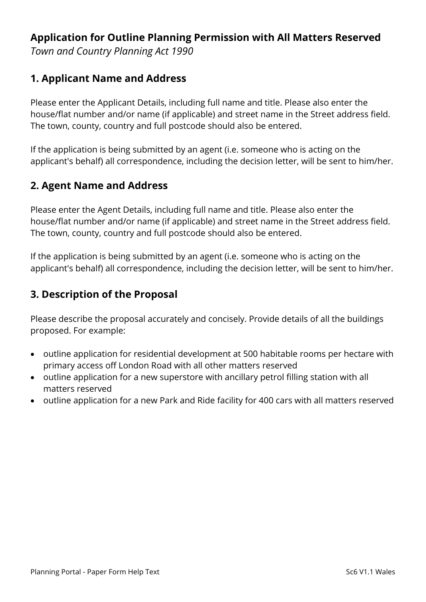# **Application for Outline Planning Permission with All Matters Reserved**

*Town and Country Planning Act 1990*

## **1. Applicant Name and Address**

Please enter the Applicant Details, including full name and title. Please also enter the house/flat number and/or name (if applicable) and street name in the Street address field. The town, county, country and full postcode should also be entered.

If the application is being submitted by an agent (i.e. someone who is acting on the applicant's behalf) all correspondence, including the decision letter, will be sent to him/her.

## **2. Agent Name and Address**

Please enter the Agent Details, including full name and title. Please also enter the house/flat number and/or name (if applicable) and street name in the Street address field. The town, county, country and full postcode should also be entered.

If the application is being submitted by an agent (i.e. someone who is acting on the applicant's behalf) all correspondence, including the decision letter, will be sent to him/her.

## **3. Description of the Proposal**

Please describe the proposal accurately and concisely. Provide details of all the buildings proposed. For example:

- outline application for residential development at 500 habitable rooms per hectare with primary access off London Road with all other matters reserved
- outline application for a new superstore with ancillary petrol filling station with all matters reserved
- outline application for a new Park and Ride facility for 400 cars with all matters reserved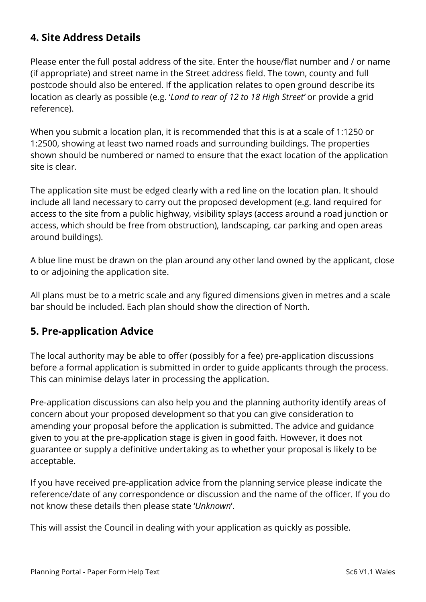# **4. Site Address Details**

Please enter the full postal address of the site. Enter the house/flat number and / or name (if appropriate) and street name in the Street address field. The town, county and full postcode should also be entered. If the application relates to open ground describe its location as clearly as possible (e.g. '*Land to rear of 12 to 18 High Street'* or provide a grid reference).

When you submit a location plan, it is recommended that this is at a scale of 1:1250 or 1:2500, showing at least two named roads and surrounding buildings. The properties shown should be numbered or named to ensure that the exact location of the application site is clear.

The application site must be edged clearly with a red line on the location plan. It should include all land necessary to carry out the proposed development (e.g. land required for access to the site from a public highway, visibility splays (access around a road junction or access, which should be free from obstruction), landscaping, car parking and open areas around buildings).

A blue line must be drawn on the plan around any other land owned by the applicant, close to or adjoining the application site.

All plans must be to a metric scale and any figured dimensions given in metres and a scale bar should be included. Each plan should show the direction of North.

#### **5. Pre-application Advice**

The local authority may be able to offer (possibly for a fee) pre-application discussions before a formal application is submitted in order to guide applicants through the process. This can minimise delays later in processing the application.

Pre-application discussions can also help you and the planning authority identify areas of concern about your proposed development so that you can give consideration to amending your proposal before the application is submitted. The advice and guidance given to you at the pre-application stage is given in good faith. However, it does not guarantee or supply a definitive undertaking as to whether your proposal is likely to be acceptable.

If you have received pre-application advice from the planning service please indicate the reference/date of any correspondence or discussion and the name of the officer. If you do not know these details then please state '*Unknown*'.

This will assist the Council in dealing with your application as quickly as possible.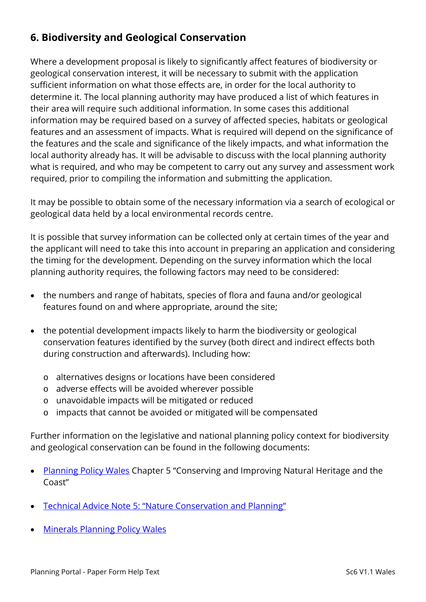# **6. Biodiversity and Geological Conservation**

Where a development proposal is likely to significantly affect features of biodiversity or geological conservation interest, it will be necessary to submit with the application sufficient information on what those effects are, in order for the local authority to determine it. The local planning authority may have produced a list of which features in their area will require such additional information. In some cases this additional information may be required based on a survey of affected species, habitats or geological features and an assessment of impacts. What is required will depend on the significance of the features and the scale and significance of the likely impacts, and what information the local authority already has. It will be advisable to discuss with the local planning authority what is required, and who may be competent to carry out any survey and assessment work required, prior to compiling the information and submitting the application.

It may be possible to obtain some of the necessary information via a search of ecological or geological data held by a local environmental records centre.

It is possible that survey information can be collected only at certain times of the year and the applicant will need to take this into account in preparing an application and considering the timing for the development. Depending on the survey information which the local planning authority requires, the following factors may need to be considered:

- the numbers and range of habitats, species of flora and fauna and/or geological features found on and where appropriate, around the site;
- the potential development impacts likely to harm the biodiversity or geological conservation features identified by the survey (both direct and indirect effects both during construction and afterwards). Including how:
	- o alternatives designs or locations have been considered
	- o adverse effects will be avoided wherever possible
	- o unavoidable impacts will be mitigated or reduced
	- o impacts that cannot be avoided or mitigated will be compensated

Further information on the legislative and national planning policy context for biodiversity and geological conservation can be found in the following documents:

- [Planning Policy Wales](http://gov.wales/topics/planning/policy/ppw/?lang=en) Chapter 5 "Conserving and Improving Natural Heritage and the Coast"
- [Technical Advice Note 5: "Nature Conservation and Planning"](http://gov.wales/topics/planning/policy/tans/tan5/?lang=en)
- [Minerals Planning Policy Wales](http://gov.wales/topics/planning/policy/minerals/mineralsplanning/?lang=en)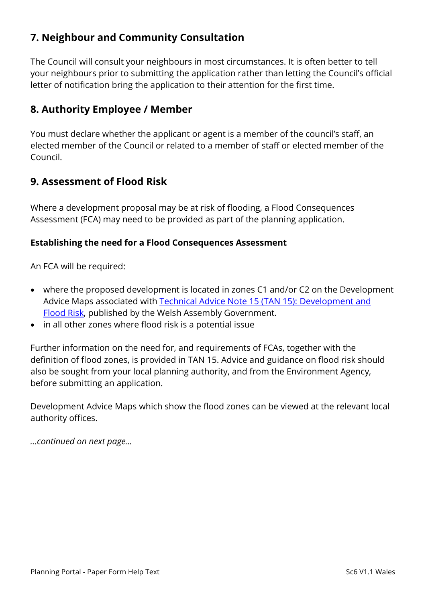# **7. Neighbour and Community Consultation**

The Council will consult your neighbours in most circumstances. It is often better to tell your neighbours prior to submitting the application rather than letting the Council's official letter of notification bring the application to their attention for the first time.

### **8. Authority Employee / Member**

You must declare whether the applicant or agent is a member of the council's staff, an elected member of the Council or related to a member of staff or elected member of the Council.

### **9. Assessment of Flood Risk**

Where a development proposal may be at risk of flooding, a Flood Consequences Assessment (FCA) may need to be provided as part of the planning application.

#### **Establishing the need for a Flood Consequences Assessment**

An FCA will be required:

- where the proposed development is located in zones C1 and/or C2 on the Development Advice Maps associated with [Technical Advice Note 15 \(TAN 15\): Development and](http://gov.wales/topics/planning/policy/tans/tan15/?lang=en)  [Flood Risk,](http://gov.wales/topics/planning/policy/tans/tan15/?lang=en) published by the Welsh Assembly Government.
- in all other zones where flood risk is a potential issue

Further information on the need for, and requirements of FCAs, together with the definition of flood zones, is provided in TAN 15. Advice and guidance on flood risk should also be sought from your local planning authority, and from the Environment Agency, before submitting an application.

Development Advice Maps which show the flood zones can be viewed at the relevant local authority offices.

*…continued on next page…*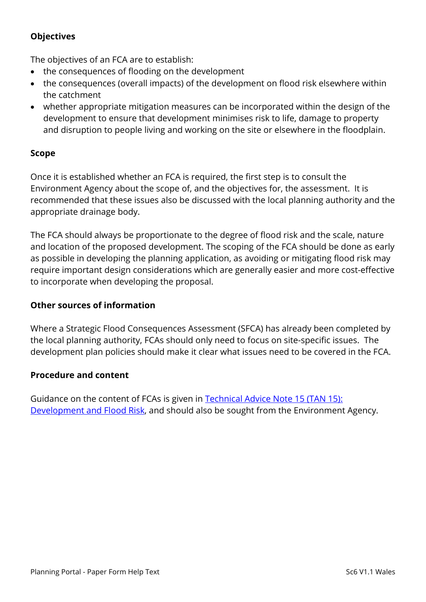#### **Objectives**

The objectives of an FCA are to establish:

- the consequences of flooding on the development
- the consequences (overall impacts) of the development on flood risk elsewhere within the catchment
- whether appropriate mitigation measures can be incorporated within the design of the development to ensure that development minimises risk to life, damage to property and disruption to people living and working on the site or elsewhere in the floodplain.

#### **Scope**

Once it is established whether an FCA is required, the first step is to consult the Environment Agency about the scope of, and the objectives for, the assessment. It is recommended that these issues also be discussed with the local planning authority and the appropriate drainage body.

The FCA should always be proportionate to the degree of flood risk and the scale, nature and location of the proposed development. The scoping of the FCA should be done as early as possible in developing the planning application, as avoiding or mitigating flood risk may require important design considerations which are generally easier and more cost-effective to incorporate when developing the proposal.

#### **Other sources of information**

Where a Strategic Flood Consequences Assessment (SFCA) has already been completed by the local planning authority, FCAs should only need to focus on site-specific issues. The development plan policies should make it clear what issues need to be covered in the FCA.

#### **Procedure and content**

Guidance on the content of FCAs is given in Technical Advice Note 15 (TAN 15): [Development and Flood Risk,](http://gov.wales/topics/planning/policy/tans/tan15/?lang=en) and should also be sought from the Environment Agency.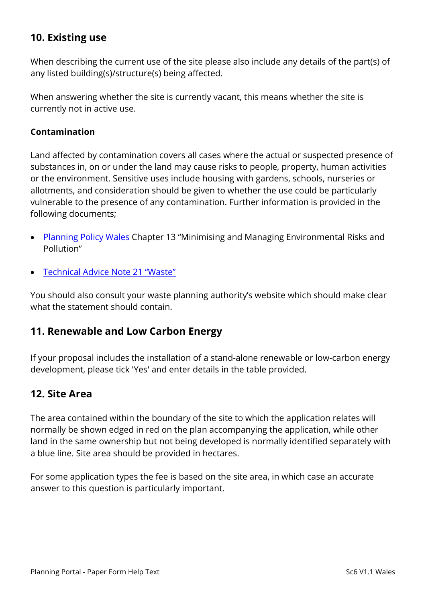# **10. Existing use**

When describing the current use of the site please also include any details of the part(s) of any listed building(s)/structure(s) being affected.

When answering whether the site is currently vacant, this means whether the site is currently not in active use.

#### **Contamination**

Land affected by contamination covers all cases where the actual or suspected presence of substances in, on or under the land may cause risks to people, property, human activities or the environment. Sensitive uses include housing with gardens, schools, nurseries or allotments, and consideration should be given to whether the use could be particularly vulnerable to the presence of any contamination. Further information is provided in the following documents;

- [Planning Policy Wales](http://gov.wales/topics/planning/policy/ppw/?lang=en) Chapter 13 "Minimising and Managing Environmental Risks and Pollution"
- [Technical Advice Note 21 "Waste"](http://gov.wales/topics/planning/policy/tans/tan21/?lang=en)

You should also consult your waste planning authority's website which should make clear what the statement should contain.

#### **11. Renewable and Low Carbon Energy**

If your proposal includes the installation of a stand-alone renewable or low-carbon energy development, please tick 'Yes' and enter details in the table provided.

#### **12. Site Area**

The area contained within the boundary of the site to which the application relates will normally be shown edged in red on the plan accompanying the application, while other land in the same ownership but not being developed is normally identified separately with a blue line. Site area should be provided in hectares.

For some application types the fee is based on the site area, in which case an accurate answer to this question is particularly important.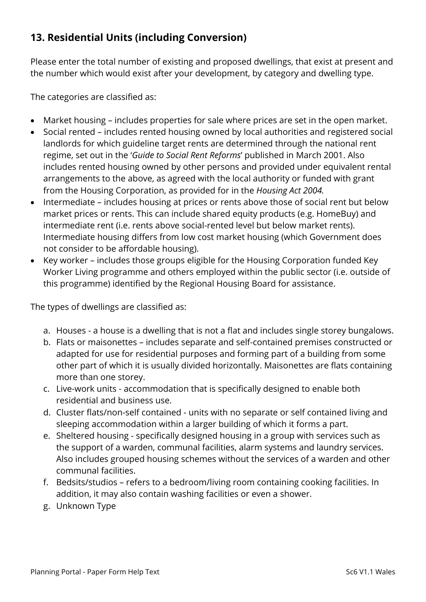# **13. Residential Units (including Conversion)**

Please enter the total number of existing and proposed dwellings, that exist at present and the number which would exist after your development, by category and dwelling type.

The categories are classified as:

- Market housing includes properties for sale where prices are set in the open market.
- Social rented includes rented housing owned by local authorities and registered social landlords for which guideline target rents are determined through the national rent regime, set out in the '*Guide to Social Rent Reforms*' published in March 2001. Also includes rented housing owned by other persons and provided under equivalent rental arrangements to the above, as agreed with the local authority or funded with grant from the Housing Corporation, as provided for in the *Housing Act 2004.*
- Intermediate includes housing at prices or rents above those of social rent but below market prices or rents. This can include shared equity products (e.g. HomeBuy) and intermediate rent (i.e. rents above social-rented level but below market rents). Intermediate housing differs from low cost market housing (which Government does not consider to be affordable housing).
- Key worker includes those groups eligible for the Housing Corporation funded Key Worker Living programme and others employed within the public sector (i.e. outside of this programme) identified by the Regional Housing Board for assistance.

The types of dwellings are classified as:

- a. Houses a house is a dwelling that is not a flat and includes single storey bungalows.
- b. Flats or maisonettes includes separate and self-contained premises constructed or adapted for use for residential purposes and forming part of a building from some other part of which it is usually divided horizontally. Maisonettes are flats containing more than one storey.
- c. Live-work units accommodation that is specifically designed to enable both residential and business use.
- d. Cluster flats/non-self contained units with no separate or self contained living and sleeping accommodation within a larger building of which it forms a part.
- e. Sheltered housing specifically designed housing in a group with services such as the support of a warden, communal facilities, alarm systems and laundry services. Also includes grouped housing schemes without the services of a warden and other communal facilities.
- f. Bedsits/studios refers to a bedroom/living room containing cooking facilities. In addition, it may also contain washing facilities or even a shower.
- g. Unknown Type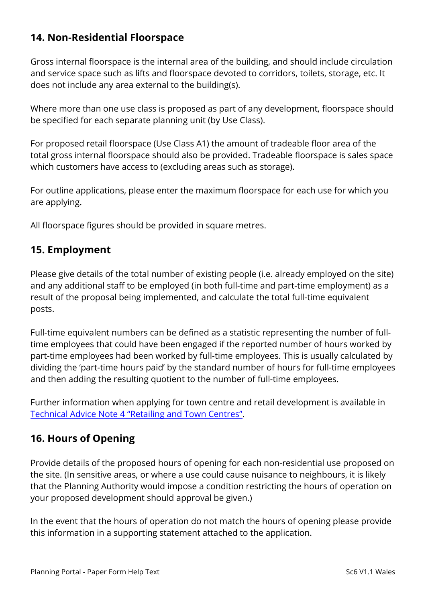# **14. Non-Residential Floorspace**

Gross internal floorspace is the internal area of the building, and should include circulation and service space such as lifts and floorspace devoted to corridors, toilets, storage, etc. It does not include any area external to the building(s).

Where more than one use class is proposed as part of any development, floorspace should be specified for each separate planning unit (by Use Class).

For proposed retail floorspace (Use Class A1) the amount of tradeable floor area of the total gross internal floorspace should also be provided. Tradeable floorspace is sales space which customers have access to (excluding areas such as storage).

For outline applications, please enter the maximum floorspace for each use for which you are applying.

All floorspace figures should be provided in square metres.

## **15. Employment**

Please give details of the total number of existing people (i.e. already employed on the site) and any additional staff to be employed (in both full-time and part-time employment) as a result of the proposal being implemented, and calculate the total full-time equivalent posts.

Full-time equivalent numbers can be defined as a statistic representing the number of fulltime employees that could have been engaged if the reported number of hours worked by part-time employees had been worked by full-time employees. This is usually calculated by dividing the 'part-time hours paid' by the standard number of hours for full-time employees and then adding the resulting quotient to the number of full-time employees.

Further information when applying for town centre and retail development is available in [Technical Advice Note 4 "Retailing and Town Centres".](http://gov.wales/topics/planning/policy/tans/tan4/?lang=en)

# **16. Hours of Opening**

Provide details of the proposed hours of opening for each non-residential use proposed on the site. (In sensitive areas, or where a use could cause nuisance to neighbours, it is likely that the Planning Authority would impose a condition restricting the hours of operation on your proposed development should approval be given.)

In the event that the hours of operation do not match the hours of opening please provide this information in a supporting statement attached to the application.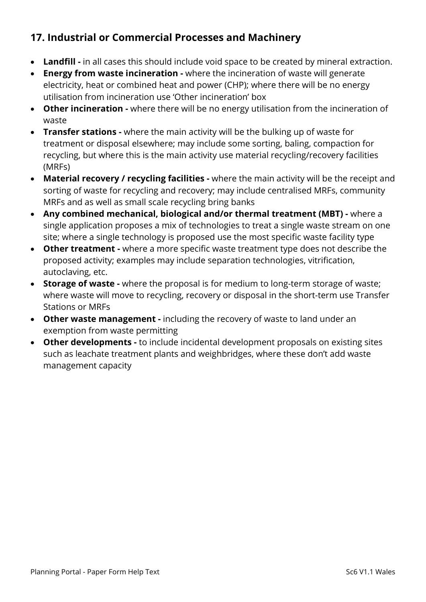# **17. Industrial or Commercial Processes and Machinery**

- **Landfill -** in all cases this should include void space to be created by mineral extraction.
- **Energy from waste incineration -** where the incineration of waste will generate electricity, heat or combined heat and power (CHP); where there will be no energy utilisation from incineration use 'Other incineration' box
- **Other incineration -** where there will be no energy utilisation from the incineration of waste
- **Transfer stations -** where the main activity will be the bulking up of waste for treatment or disposal elsewhere; may include some sorting, baling, compaction for recycling, but where this is the main activity use material recycling/recovery facilities (MRFs)
- **Material recovery / recycling facilities -** where the main activity will be the receipt and sorting of waste for recycling and recovery; may include centralised MRFs, community MRFs and as well as small scale recycling bring banks
- **Any combined mechanical, biological and/or thermal treatment (MBT) -** where a single application proposes a mix of technologies to treat a single waste stream on one site; where a single technology is proposed use the most specific waste facility type
- **Other treatment -** where a more specific waste treatment type does not describe the proposed activity; examples may include separation technologies, vitrification, autoclaving, etc.
- **Storage of waste -** where the proposal is for medium to long-term storage of waste; where waste will move to recycling, recovery or disposal in the short-term use Transfer Stations or MRFs
- **Other waste management -** including the recovery of waste to land under an exemption from waste permitting
- **Other developments -** to include incidental development proposals on existing sites such as leachate treatment plants and weighbridges, where these don't add waste management capacity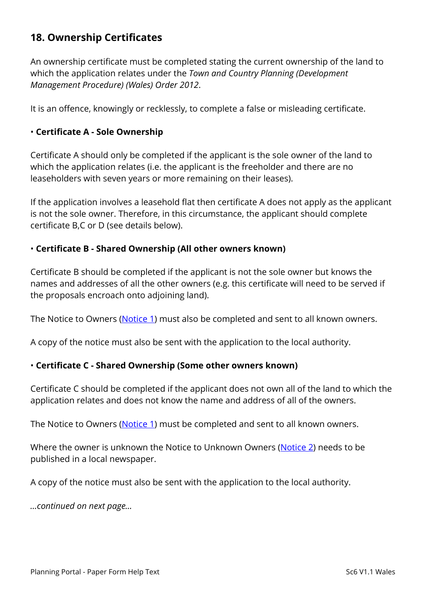# **18. Ownership Certificates**

An ownership certificate must be completed stating the current ownership of the land to which the application relates under the *Town and Country Planning (Development Management Procedure) (Wales) Order 2012*.

It is an offence, knowingly or recklessly, to complete a false or misleading certificate.

#### • **Certificate A - Sole Ownership**

Certificate A should only be completed if the applicant is the sole owner of the land to which the application relates (i.e. the applicant is the freeholder and there are no leaseholders with seven years or more remaining on their leases).

If the application involves a leasehold flat then certificate A does not apply as the applicant is not the sole owner. Therefore, in this circumstance, the applicant should complete certificate B,C or D (see details below).

#### • **Certificate B - Shared Ownership (All other owners known)**

Certificate B should be completed if the applicant is not the sole owner but knows the names and addresses of all the other owners (e.g. this certificate will need to be served if the proposals encroach onto adjoining land).

The Notice to Owners [\(Notice 1\)](https://ecab.planningportal.co.uk/uploads/1app/notices/notice1_wales.pdf) must also be completed and sent to all known owners.

A copy of the notice must also be sent with the application to the local authority.

#### • **Certificate C - Shared Ownership (Some other owners known)**

Certificate C should be completed if the applicant does not own all of the land to which the application relates and does not know the name and address of all of the owners.

The Notice to Owners [\(Notice 1\)](https://ecab.planningportal.co.uk/uploads/1app/notices/notice1_wales.pdf) must be completed and sent to all known owners.

Where the owner is unknown the Notice to Unknown Owners [\(Notice 2\)](https://ecab.planningportal.co.uk/uploads/1app/notices/notice2_wales.pdf) needs to be published in a local newspaper.

A copy of the notice must also be sent with the application to the local authority.

*…continued on next page…*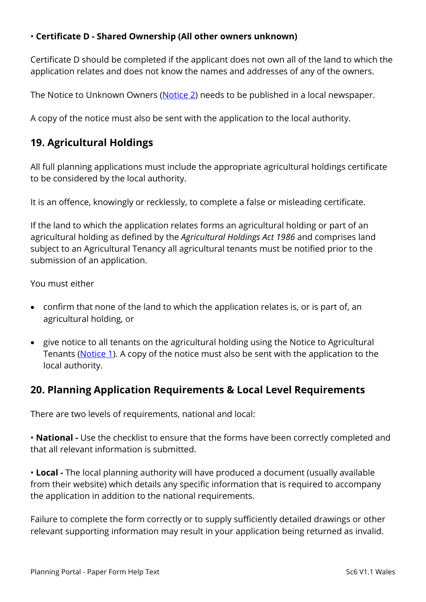#### • **Certificate D - Shared Ownership (All other owners unknown)**

Certificate D should be completed if the applicant does not own all of the land to which the application relates and does not know the names and addresses of any of the owners.

The Notice to Unknown Owners [\(Notice 2\)](https://ecab.planningportal.co.uk/uploads/1app/notices/notice2_wales.pdf) needs to be published in a local newspaper.

A copy of the notice must also be sent with the application to the local authority.

# **19. Agricultural Holdings**

All full planning applications must include the appropriate agricultural holdings certificate to be considered by the local authority.

It is an offence, knowingly or recklessly, to complete a false or misleading certificate.

If the land to which the application relates forms an agricultural holding or part of an agricultural holding as defined by the *Agricultural Holdings Act 1986* and comprises land subject to an Agricultural Tenancy all agricultural tenants must be notified prior to the submission of an application.

You must either

- confirm that none of the land to which the application relates is, or is part of, an agricultural holding, or
- give notice to all tenants on the agricultural holding using the Notice to Agricultural Tenants [\(Notice 1\)](https://ecab.planningportal.co.uk/uploads/1app/notices/notice1_wales.pdf). A copy of the notice must also be sent with the application to the local authority.

# **20. Planning Application Requirements & Local Level Requirements**

There are two levels of requirements, national and local:

• **National -** Use the checklist to ensure that the forms have been correctly completed and that all relevant information is submitted.

• **Local -** The local planning authority will have produced a document (usually available from their website) which details any specific information that is required to accompany the application in addition to the national requirements.

Failure to complete the form correctly or to supply sufficiently detailed drawings or other relevant supporting information may result in your application being returned as invalid.